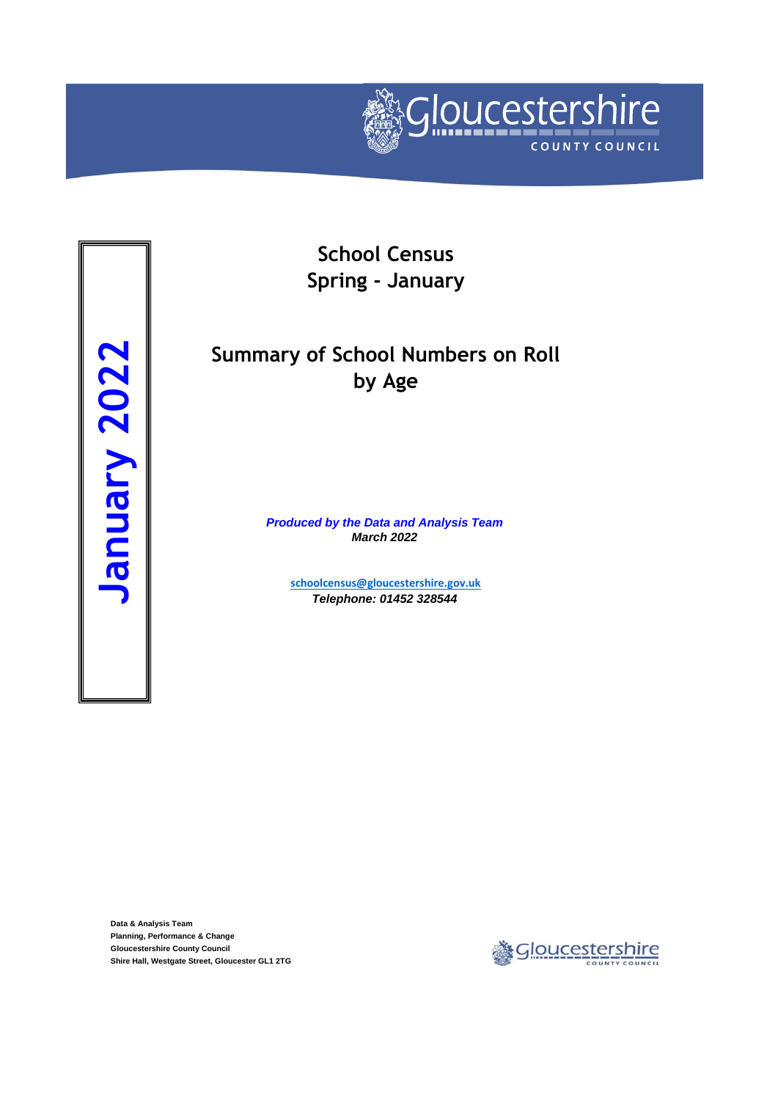

Summary Summary Summary 2022<br> **Shire Hall, Westgate Street, Gloucester GL1 2TG**<br>
Shire Hall, Westgate Street, Gloucester GL1 2TG<br>
Shire Hall, Westgate Street, Gloucester GL1 2TG

**School Census Spring - January**

## **Summary of School Numbers on Roll by Age**

*Produced by the Data and Analysis Team March 2022*

> **[schoolcensus@gloucest](mailto:schoolcensus@gloucestershire.gov.uk)ershire.gov.uk** *Telephone: 01452 328544*

**Data & Analysis Team Planning, Performance & Change Gloucestershire County Council**

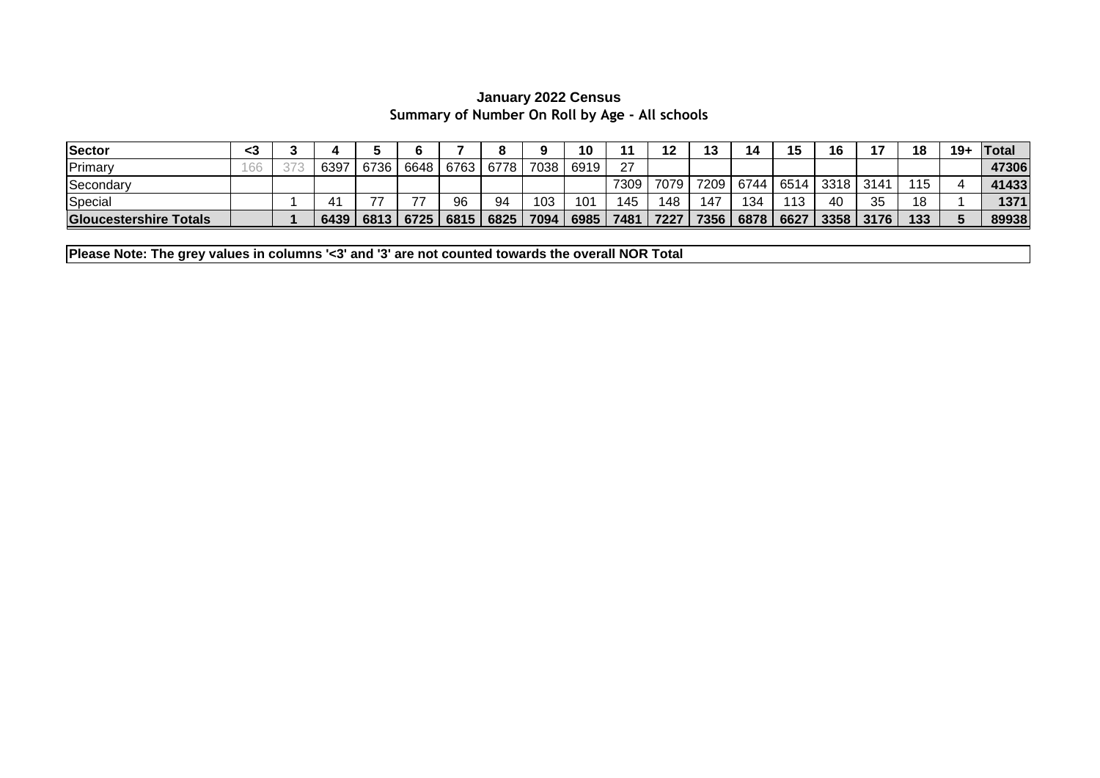## **Summary of Number On Roll by Age - All schools January 2022 Census**

| Sector                        | <3                        |      |      |           |      |      |      | 10   |      |      | 12<br>ט ו |      | 15   | 16   |      | 18  | $19+$ | <b>Total</b> |
|-------------------------------|---------------------------|------|------|-----------|------|------|------|------|------|------|-----------|------|------|------|------|-----|-------|--------------|
| Primary                       | $\sim$<br>$\sim$<br>1 U J | 6397 | 6736 | 6648      | 6763 | 6778 | 7038 | 6919 | 27   |      |           |      |      |      |      |     |       | 47306        |
| Secondary                     |                           |      |      |           |      |      |      |      | 7309 | 7079 | 7209      | 6744 | 6514 | 3318 | 3141 | 115 |       | 41433        |
| Special                       |                           |      | -    | —         | 96   | 94   | 103  | 101  | 145  | 48ء  | 147       | 134  | 113  | 40   | つに   | 18  |       | 1371         |
| <b>Gloucestershire Totals</b> |                           | 6439 | 6813 | 6725 6815 |      | 6825 | 7094 | 6985 | 7481 | 7227 | 7356      | 6878 | 6627 | 3358 | 3176 | 133 |       | 89938        |

**Please Note: The grey values in columns '<3' and '3' are not counted towards the overall NOR Total**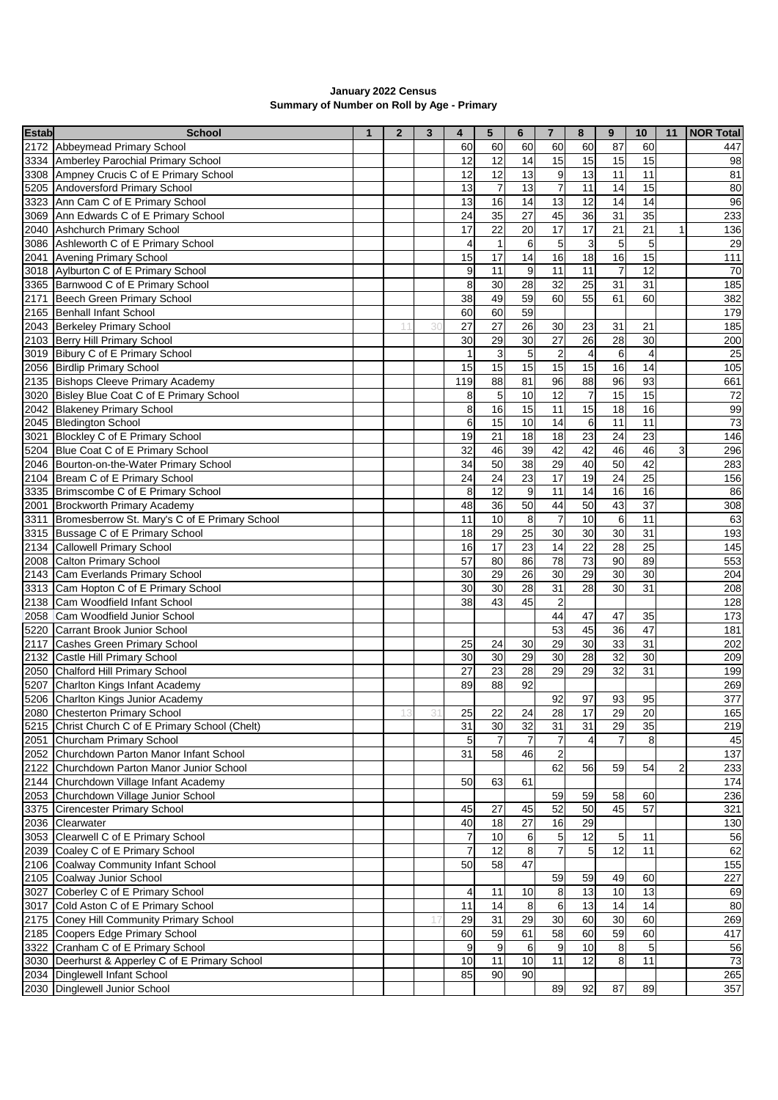| January 2022 Census                        |
|--------------------------------------------|
| Summary of Number on Roll by Age - Primary |

| <b>Estab</b> | <b>School</b>                                                  | $\mathbf{1}$ | $\overline{2}$ | 3  | 4                    | 5                | 6               | $\overline{7}$   | 8               | 9               | 10              | 11             | <b>NOR Total</b> |
|--------------|----------------------------------------------------------------|--------------|----------------|----|----------------------|------------------|-----------------|------------------|-----------------|-----------------|-----------------|----------------|------------------|
|              | 2172 Abbeymead Primary School                                  |              |                |    | 60                   | 60               | 60              | 60               | 60              | 87              | 60              |                | 447              |
|              | 3334 Amberley Parochial Primary School                         |              |                |    | 12                   | 12               | 14              | 15               | 15              | 15              | 15              |                | 98               |
|              | 3308 Ampney Crucis C of E Primary School                       |              |                |    | 12                   | 12               | 13              | $\boldsymbol{9}$ | 13              | 11              | 11              |                | 81               |
|              | 5205 Andoversford Primary School                               |              |                |    | 13                   | $\overline{7}$   | 13              | $\overline{7}$   | 11              | 14              | 15              |                | 80               |
|              | 3323 Ann Cam C of E Primary School                             |              |                |    | 13                   | 16               | 14              | 13               | $\overline{12}$ | 14              | 14              |                | 96               |
|              | 3069 Ann Edwards C of E Primary School                         |              |                |    | 24                   | 35               | 27              | 45               | 36              | $\overline{31}$ | 35              |                | 233              |
|              | 2040 Ashchurch Primary School                                  |              |                |    | 17                   | 22               | 20              | 17               | 17              | 21              | 21              | 1              | 136              |
|              | 3086 Ashleworth C of E Primary School                          |              |                |    | 4                    | $\overline{1}$   | 6               | 5                | $\mathsf 3$     | 5               | 5               |                | 29               |
|              | 2041 Avening Primary School                                    |              |                |    | 15                   | 17               | 14              | 16               | $\frac{1}{8}$   | 16              | 15              |                | 111              |
|              | 3018 Aylburton C of E Primary School                           |              |                |    | 9                    | 11               | $\overline{9}$  | 11               | $\overline{11}$ | $\overline{7}$  | 12              |                | 70               |
|              | 3365 Barnwood C of E Primary School                            |              |                |    | 8                    | 30               | 28              | 32               | 25              | 31              | $\overline{31}$ |                | 185              |
|              | 2171 Beech Green Primary School                                |              |                |    | 38                   | 49               | 59              | 60               | 55              | 61              | 60              |                | 382              |
|              | 2165 Benhall Infant School                                     |              |                |    | 60                   | 60               | 59              |                  |                 |                 |                 |                | 179              |
|              | 2043 Berkeley Primary School                                   |              |                | 30 | 27                   | 27               | 26              | 30               | 23              | 31              | 21              |                | 185              |
|              | 2103 Berry Hill Primary School                                 |              |                |    | 30                   | 29               | 30              | 27               | 26              | 28              | 30              |                | 200              |
|              | 3019 Bibury C of E Primary School                              |              |                |    | $\mathbf{1}$         | 3                | $\overline{5}$  | $\boldsymbol{2}$ | 4               | 6               | $\overline{4}$  |                | 25               |
|              | 2056 Birdlip Primary School                                    |              |                |    | 15                   | 15               | 15              | 15               | 15              | 16              | 14              |                | 105              |
|              | 2135 Bishops Cleeve Primary Academy                            |              |                |    | 119                  | $\overline{88}$  | 81              | 96               | $\overline{88}$ | 96              | 93              |                | 661              |
|              | 3020 Bisley Blue Coat C of E Primary School                    |              |                |    | 8                    | 5                | 10              | 12               | $\overline{7}$  | $\overline{15}$ | 15              |                | 72               |
|              | 2042 Blakeney Primary School                                   |              |                |    | 8                    | 16               | 15              | 11               | 15              | 18              | 16              |                | 99               |
|              | 2045 Bledington School                                         |              |                |    | $\overline{6}$       | 15               | 10              | 14               | 6               | 11              | 11              |                | $\overline{73}$  |
|              | 3021 Blockley C of E Primary School                            |              |                |    | 19                   | $\overline{21}$  | $\overline{18}$ | 18               | 23              | $\overline{24}$ | $\overline{23}$ |                | 146              |
|              | 5204 Blue Coat C of E Primary School                           |              |                |    | 32                   | 46               | 39              | 42               | 42              | 46              | 46              | 3              | 296              |
|              | 2046 Bourton-on-the-Water Primary School                       |              |                |    | 34                   | 50               | 38              | 29               | 40              | 50              | 42              |                | 283              |
|              | 2104 Bream C of E Primary School                               |              |                |    | 24                   | 24               | 23              | 17               | 19              | 24              | 25              |                | 156              |
|              | 3335 Brimscombe C of E Primary School                          |              |                |    | 8                    | 12               | $9\,$           | 11               | $\overline{14}$ | 16              | 16              |                | 86               |
|              | 2001 Brockworth Primary Academy                                |              |                |    | 48                   | 36               | 50              | 44               | 50              | 43              | $\overline{37}$ |                | 308              |
|              | 3311 Bromesberrow St. Mary's C of E Primary School             |              |                |    | 11                   | 10               | 8               | $\boldsymbol{7}$ | 10              | 6               | 11              |                | 63               |
|              | 3315 Bussage C of E Primary School                             |              |                |    | 18                   | 29               | 25              | 30               | 30              | $\overline{30}$ | 31              |                | 193              |
|              | 2134 Callowell Primary School                                  |              |                |    | 16                   | 17               | 23              | $\overline{14}$  | $\overline{22}$ | $\overline{28}$ | $\overline{25}$ |                | 145              |
|              | 2008 Calton Primary School                                     |              |                |    | 57                   | 80               | 86              | 78               | $\overline{73}$ | $\overline{90}$ | 89              |                | 553              |
|              | 2143 Cam Everlands Primary School                              |              |                |    | 30                   | 29               | 26              | 30               | 29              | $\overline{30}$ | 30              |                | 204              |
|              | 3313 Cam Hopton C of E Primary School                          |              |                |    | 30                   | 30               | 28              | 31               | $\overline{28}$ | $\overline{30}$ | 31              |                | 208              |
|              | 2138 Cam Woodfield Infant School                               |              |                |    | 38                   | 43               | 45              | $\overline{c}$   |                 |                 |                 |                | 128              |
|              | 2058 Cam Woodfield Junior School                               |              |                |    |                      |                  |                 | 44               | 47              | 47              | 35              |                | 173              |
|              | 5220 Carrant Brook Junior School                               |              |                |    |                      |                  |                 | 53               | 45              | $\overline{36}$ | 47              |                | 181              |
| 2117         | Cashes Green Primary School                                    |              |                |    | 25                   | 24               | 30              | 29               | 30              | 33              | $\overline{31}$ |                | 202              |
|              | 2132 Castle Hill Primary School                                |              |                |    | 30                   | 30               | 29              | 30               | 28              | 32              | 30              |                | 209              |
|              | 2050 Chalford Hill Primary School                              |              |                |    | 27                   | 23               | 28              | $\overline{29}$  | 29              | 32              | $\overline{31}$ |                | 199              |
|              | 5207 Charlton Kings Infant Academy                             |              |                |    | 89                   | 88               | 92              |                  |                 |                 |                 |                | 269              |
|              | 5206 Charlton Kings Junior Academy                             |              |                |    |                      |                  |                 | 92               | 97              | 93              | 95              |                | 377              |
|              | 2080 Chesterton Primary School                                 |              |                | 31 | 25                   | 22               | 24              | 28               | 17              | 29              | 20              |                | 165              |
|              | 5215 Christ Church C of E Primary School (Chelt)               |              |                |    | 31                   | 30               | 32              | 31               | 31              | 29              | 35              |                | 219              |
|              | 2051 Churcham Primary School                                   |              |                |    | 5                    | $\overline{7}$   | $\overline{7}$  | $\overline{7}$   | $\overline{4}$  | $\overline{7}$  | 8               |                | 45               |
|              | 2052 Churchdown Parton Manor Infant School                     |              |                |    | 31                   | $\overline{58}$  | 46              | $\overline{c}$   |                 |                 |                 |                | 137              |
|              | 2122 Churchdown Parton Manor Junior School                     |              |                |    |                      |                  |                 | 62               | 56              | 59              | 54              | $\overline{2}$ | 233              |
|              | 2144 Churchdown Village Infant Academy                         |              |                |    | 50                   | 63               | 61              |                  |                 |                 |                 |                | 174              |
|              | 2053 Churchdown Village Junior School                          |              |                |    |                      |                  |                 | 59               | 59              | 58              | 60              |                | 236              |
|              | 3375 Cirencester Primary School                                |              |                |    | 45                   | 27               | 45              | 52               | 50              | 45              | 57              |                | 321              |
|              | 2036 Clearwater                                                |              |                |    | 40                   | 18               | 27              | 16               | 29              |                 |                 |                | 130              |
|              | 3053 Clearwell C of E Primary School                           |              |                |    | $\boldsymbol{7}$     | 10               | 6               | 5                | 12              | 5               | 11              |                | 56               |
|              | 2039 Coaley C of E Primary School                              |              |                |    | $\overline{7}$       | 12               | 8               |                  | 5               | 12              | 11              |                | 62               |
|              | 2106 Coalway Community Infant School                           |              |                |    | 50                   | 58               | 47              |                  |                 |                 |                 |                | 155              |
|              | 2105 Coalway Junior School                                     |              |                |    |                      |                  |                 | 59               | 59              | 49              | 60              |                | 227              |
|              | 3027 Coberley C of E Primary School                            |              |                |    | 4                    | 11               | 10              | 8                | 13              | 10              | 13              |                | 69               |
|              | 3017 Cold Aston C of E Primary School                          |              |                |    | 11                   | 14               | 8               | 6                | 13              | $\overline{14}$ | $\overline{14}$ |                | 80               |
|              | 2175 Coney Hill Community Primary School                       |              |                | 17 | 29                   | 31               | 29              | 30               | 60              | 30              | 60              |                | 269              |
|              | 2185 Coopers Edge Primary School                               |              |                |    | 60                   | 59               | 61              | 58               | 60              | 59              | 60              |                | 417              |
|              | 3322 Cranham C of E Primary School                             |              |                |    |                      | $\boldsymbol{9}$ | $6\phantom{.}6$ | 9                | 10              | 8               | $\sqrt{5}$      |                | 56               |
|              | 3030 Deerhurst & Apperley C of E Primary School                |              |                |    | $\overline{9}$<br>10 | 11               | 10              | 11               | $\overline{12}$ | $\overline{8}$  | 11              |                | 73               |
|              |                                                                |              |                |    |                      | 90               | 90              |                  |                 |                 |                 |                |                  |
|              | 2034 Dinglewell Infant School<br>2030 Dinglewell Junior School |              |                |    | 85                   |                  |                 |                  |                 | 87              |                 |                | 265              |
|              |                                                                |              |                |    |                      |                  |                 | 89               | 92              |                 | 89              |                | 357              |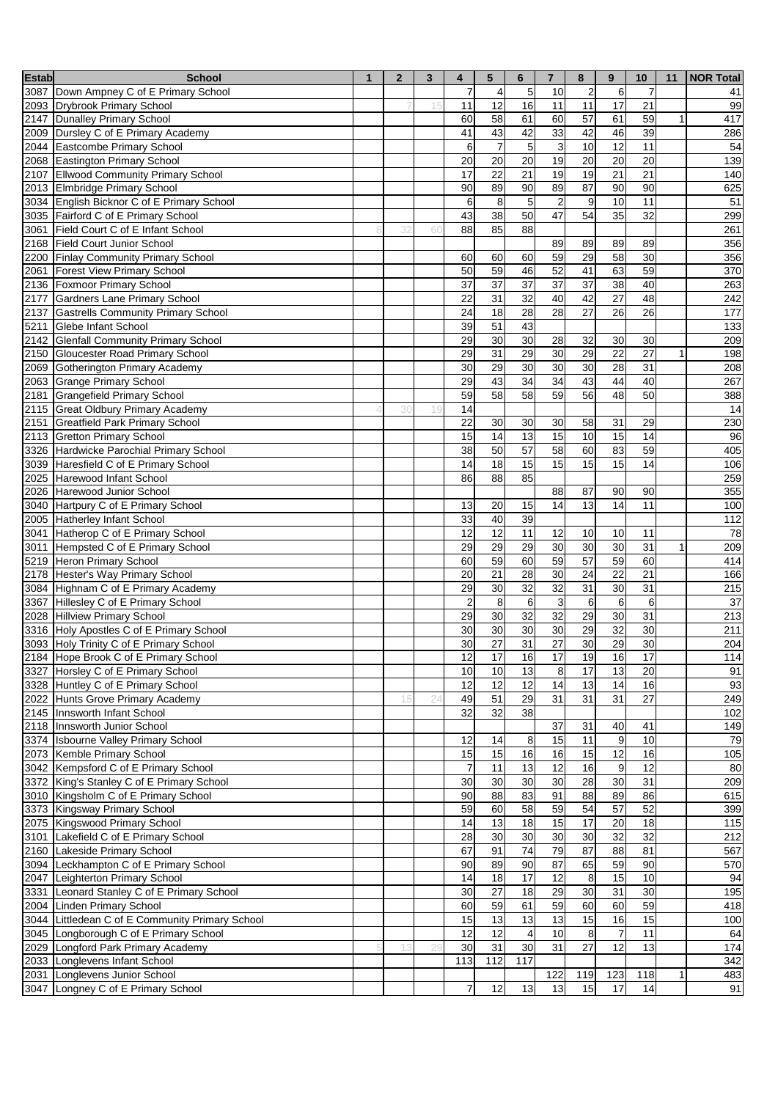| <b>Estab</b> | <b>School</b>                                                      | $\mathbf{1}$ | $\overline{2}$ | 3  | 4              | 5               | 6                     | $\overline{7}$  | 8                | 9                | 10              | 11 | <b>NOR Total</b> |
|--------------|--------------------------------------------------------------------|--------------|----------------|----|----------------|-----------------|-----------------------|-----------------|------------------|------------------|-----------------|----|------------------|
|              | 3087 Down Ampney C of E Primary School                             |              |                |    | $\overline{7}$ | $\overline{4}$  | 5                     | 10              | $\sqrt{2}$       | 6                | $\overline{7}$  |    | 41               |
|              | 2093 Drybrook Primary School                                       |              |                | 15 | 11             | 12              | 16                    | 11              | 11               | $\overline{17}$  | 21              |    | 99               |
|              | 2147 Dunalley Primary School                                       |              |                |    | 60             | 58              | 61                    | 60              | 57               | 61               | 59              |    | 417              |
|              | 2009 Dursley C of E Primary Academy                                |              |                |    | 41             | 43              | 42                    | 33              | 42               | 46               | 39              |    | 286              |
|              | 2044 Eastcombe Primary School                                      |              |                |    | 6              | $\overline{7}$  | 5                     | 3               | 10               | 12               | 11              |    | 54               |
|              | 2068 Eastington Primary School                                     |              |                |    | 20             | 20              | 20                    | 19              | 20               | 20               | $\overline{20}$ |    | 139              |
|              | 2107 Ellwood Community Primary School                              |              |                |    | 17             | 22              | 21                    | 19              | 19               | 21               | 21              |    | 140              |
|              | 2013 Elmbridge Primary School                                      |              |                |    | 90             | 89              | 90                    | 89              | 87               | 90               | $\overline{90}$ |    | 625              |
|              | 3034 English Bicknor C of E Primary School                         |              |                |    | 6              | 8               | $\overline{5}$        | $\overline{2}$  | $\boldsymbol{9}$ | 10               | 11              |    | 51               |
|              | 3035 Fairford C of E Primary School                                |              |                |    | 43             | 38              | 50                    | 47              | 54               | 35               | 32              |    | 299              |
| 3061         | Field Court C of E Infant School                                   |              | 32             | 60 | 88             | 85              | 88                    |                 |                  |                  |                 |    | 261              |
| 2168         | <b>Field Court Junior School</b>                                   |              |                |    |                |                 |                       | 89              | 89               | 89               | 89              |    | 356              |
|              | 2200 Finlay Community Primary School                               |              |                |    | 60             | 60              | 60                    | 59              | $\overline{29}$  | 58               | 30              |    | 356              |
| 2061         | <b>Forest View Primary School</b><br>2136 Foxmoor Primary School   |              |                |    | 50             | 59              | 46                    | 52              | 41               | 63               | 59              |    | 370              |
|              | 2177 Gardners Lane Primary School                                  |              |                |    | 37             | 37<br>31        | 37                    | 37<br>40        | 37               | 38<br>27         | 40<br>48        |    | 263<br>242       |
|              | 2137 Gastrells Community Primary School                            |              |                |    | 22<br>24       | 18              | 32<br>$\overline{28}$ | $\overline{28}$ | 42<br>27         | 26               | $\overline{26}$ |    |                  |
|              | 5211 Glebe Infant School                                           |              |                |    | 39             | 51              | 43                    |                 |                  |                  |                 |    | 177<br>133       |
|              | 2142 Glenfall Community Primary School                             |              |                |    | 29             | 30              | 30                    | 28              | 32               | 30               | 30              |    | 209              |
|              | 2150 Gloucester Road Primary School                                |              |                |    | 29             | 31              | 29                    | 30              | 29               | $\overline{22}$  | $\overline{27}$ |    | 198              |
|              | 2069 Gotherington Primary Academy                                  |              |                |    | 30             | 29              | 30                    | 30              | 30               | $\overline{28}$  | $\overline{31}$ |    | 208              |
|              | 2063 Grange Primary School                                         |              |                |    | 29             | 43              | $\overline{34}$       | 34              | 43               | 44               | 40              |    | 267              |
|              | 2181 Grangefield Primary School                                    |              |                |    | 59             | 58              | 58                    | 59              | 56               | 48               | 50              |    | 388              |
|              | 2115 Great Oldbury Primary Academy                                 |              | 30             | 19 | 14             |                 |                       |                 |                  |                  |                 |    | 14               |
|              | 2151 Greatfield Park Primary School                                |              |                |    | 22             | 30              | 30                    | 30              | 58               | 31               | 29              |    | 230              |
|              | 2113 Gretton Primary School                                        |              |                |    | 15             | 14              | 13                    | 15              | 10               | 15               | $\overline{14}$ |    | 96               |
|              | 3326 Hardwicke Parochial Primary School                            |              |                |    | 38             | 50              | 57                    | 58              | 60               | 83               | 59              |    | 405              |
|              | 3039 Haresfield C of E Primary School                              |              |                |    | 14             | 18              | 15                    | 15              | 15               | 15               | 14              |    | 106              |
|              | 2025 Harewood Infant School                                        |              |                |    | 86             | 88              | 85                    |                 |                  |                  |                 |    | 259              |
|              | 2026 Harewood Junior School                                        |              |                |    |                |                 |                       | 88              | 87               | 90               | 90              |    | 355              |
|              | 3040 Hartpury C of E Primary School                                |              |                |    | 13             | 20              | 15                    | 14              | 13               | 14               | 11              |    | 100              |
|              | 2005 Hatherley Infant School                                       |              |                |    | 33             | 40              | 39                    |                 |                  |                  |                 |    | 112              |
|              | 3041 Hatherop C of E Primary School                                |              |                |    | 12             | 12              | 11                    | 12              | 10               | 10               | 11              |    | 78               |
|              | 3011 Hempsted C of E Primary School                                |              |                |    | 29             | 29              | 29                    | 30              | 30               | 30               | 31              | 1  | 209              |
|              | 5219 Heron Primary School                                          |              |                |    | 60             | 59              | 60                    | 59              | $\overline{57}$  | 59               | 60              |    | 414              |
|              | 2178 Hester's Way Primary School                                   |              |                |    | 20             | 21              | 28                    | 30              | 24               | 22               | 21              |    | 166              |
|              | 3084 Highnam C of E Primary Academy                                |              |                |    | 29             | 30              | 32                    | 32              | 31               | 30               | 31              |    | 215              |
|              | 3367 Hillesley C of E Primary School                               |              |                |    | $\overline{2}$ | 8               | $\,6$                 | 3               | 6                | 6                | 6               |    | 37               |
| 2028         | <b>Hillview Primary School</b>                                     |              |                |    | 29             | 30              | 32                    | 32              | 29               | 30               | 31              |    | 213              |
|              | 3316 Holy Apostles C of E Primary School                           |              |                |    | 30             | 30              | 30                    | 30              | 29               | 32               | 30              |    | 211              |
|              | 3093 Holy Trinity C of E Primary School                            |              |                |    | 30             | $\overline{27}$ | $\overline{31}$       | $\overline{27}$ | 30               | $\overline{29}$  | 30              |    | 204              |
|              | 2184 Hope Brook C of E Primary School                              |              |                |    | 12             | 1/              | 16                    | $\frac{1}{2}$   | 19               | 16               | 17              |    | 114              |
|              | 3327 Horsley C of E Primary School                                 |              |                |    | 10             | 10              | $\overline{13}$       | 8               | $\overline{17}$  | 13               | 20              |    | 91               |
|              | 3328 Huntley C of E Primary School                                 |              |                |    | 12             | 12              | 12<br>29              | $\overline{14}$ | 13               | 14               | 16              |    | 93               |
|              | 2022 Hunts Grove Primary Academy<br>2145   Innsworth Infant School |              |                |    | 49<br>32       | 51<br>32        | 38                    | 31              | 31               | 31               | 27              |    | 249<br>102       |
|              | 2118 Innsworth Junior School                                       |              |                |    |                |                 |                       | 37              | 31               | 40               | 41              |    | 149              |
|              | 3374 Isbourne Valley Primary School                                |              |                |    | 12             | 14              | 8                     | 15              | 11               | $\boldsymbol{9}$ | 10              |    | 79               |
|              | 2073 Kemble Primary School                                         |              |                |    | 15             | 15              | 16                    | 16              | 15               | $\overline{12}$  | 16              |    | 105              |
|              | 3042 Kempsford C of E Primary School                               |              |                |    | $\overline{7}$ | 11              | 13                    | 12              | 16               | $\boldsymbol{9}$ | 12              |    | 80               |
|              | 3372 King's Stanley C of E Primary School                          |              |                |    | 30             | 30              | 30                    | 30              | 28               | 30               | 31              |    | 209              |
|              | 3010 Kingsholm C of E Primary School                               |              |                |    | 90             | 88              | 83                    | 91              | 88               | 89               | 86              |    | 615              |
|              | 3373 Kingsway Primary School                                       |              |                |    | 59             | 60              | 58                    | 59              | 54               | 57               | 52              |    | 399              |
|              | 2075 Kingswood Primary School                                      |              |                |    | 14             | 13              | 18                    | 15              | $\overline{17}$  | 20               | 18              |    | 115              |
|              | 3101 Lakefield C of E Primary School                               |              |                |    | 28             | 30              | 30                    | 30              | 30               | $\overline{32}$  | 32              |    | 212              |
|              | 2160 Lakeside Primary School                                       |              |                |    | 67             | 91              | $\overline{74}$       | 79              | $\overline{87}$  | $\overline{88}$  | 81              |    | 567              |
|              | 3094 Leckhampton C of E Primary School                             |              |                |    | 90             | 89              | 90                    | 87              | 65               | 59               | 90              |    | 570              |
|              | 2047 Leighterton Primary School                                    |              |                |    | 14             | 18              | 17                    | 12              | $\,8\,$          | 15               | 10              |    | 94               |
|              | 3331 Leonard Stanley C of E Primary School                         |              |                |    | 30             | 27              | 18                    | 29              | 30               | $\overline{31}$  | 30              |    | 195              |
|              | 2004 Linden Primary School                                         |              |                |    | 60             | 59              | 61                    | 59              | 60               | 60               | 59              |    | 418              |
|              | 3044 Littledean C of E Community Primary School                    |              |                |    | 15             | 13              | 13                    | 13              | 15               | 16               | 15              |    | 100              |
|              | 3045 Longborough C of E Primary School                             |              |                |    | 12             | 12              | 4                     | 10              | 8                | 7                | 11              |    | 64               |
|              | 2029 Longford Park Primary Academy                                 |              |                |    | 30             | 31              | 30                    | 31              | $\overline{27}$  | $\overline{12}$  | 13              |    | 174              |
|              | 2033 Longlevens Infant School                                      |              |                |    | 113            | 112             | 117                   |                 |                  |                  |                 |    | 342              |
|              | 2031 Longlevens Junior School                                      |              |                |    |                |                 |                       | 122             | 119              | 123              | 118             | 1  | 483              |
|              | 3047 Longney C of E Primary School                                 |              |                |    | $\overline{7}$ | 12              | 13                    | 13              | 15               | 17               | 14              |    | 91               |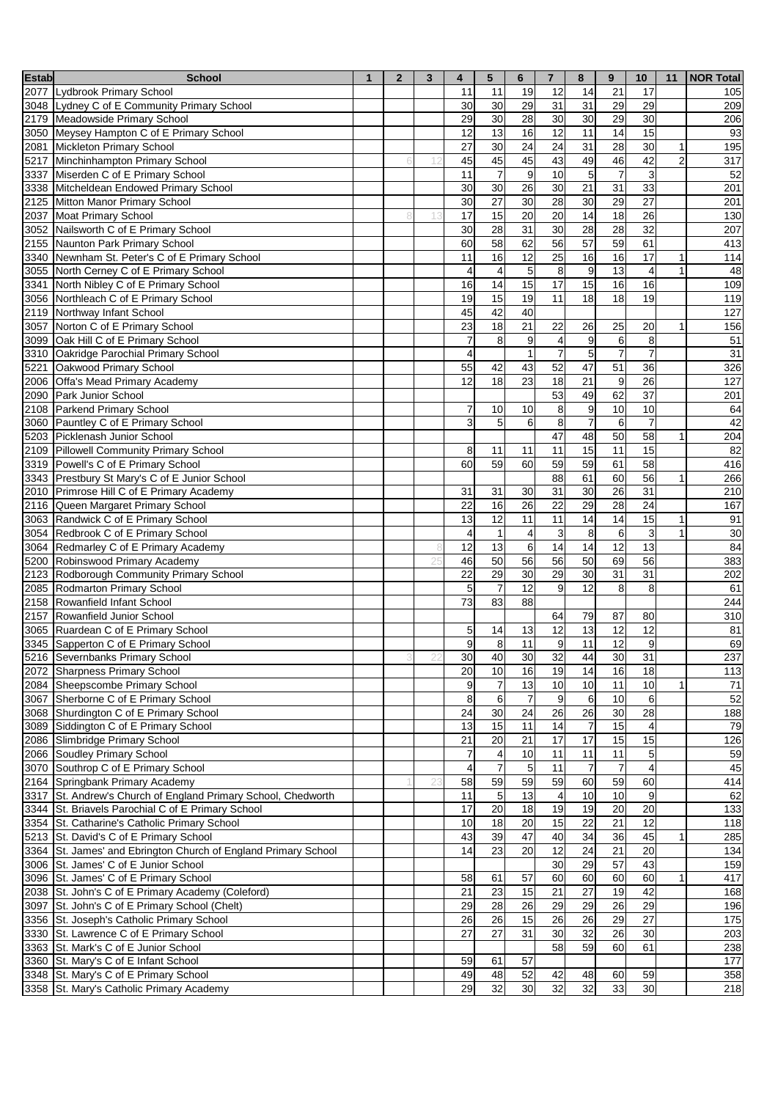| <b>Estab</b> | <b>School</b>                                                                                    | $\mathbf{1}$ | $\overline{2}$ | 3  | 4                       | 5                    | 6                                | $\overline{7}$       | 8                    | 9                       | 10                            | 11             | <b>NOR Total</b> |
|--------------|--------------------------------------------------------------------------------------------------|--------------|----------------|----|-------------------------|----------------------|----------------------------------|----------------------|----------------------|-------------------------|-------------------------------|----------------|------------------|
|              | 2077 Lydbrook Primary School                                                                     |              |                |    | 11                      | 11                   | 19                               | 12                   | 14                   | 21                      | 17                            |                | 105              |
|              | 3048 Lydney C of E Community Primary School                                                      |              |                |    | 30                      | 30                   | 29                               | 31                   | 31                   | 29                      | 29                            |                | 209              |
|              | 2179 Meadowside Primary School                                                                   |              |                |    | 29                      | 30                   | 28                               | 30                   | 30                   | 29                      | 30                            |                | 206              |
|              | 3050 Meysey Hampton C of E Primary School                                                        |              |                |    | 12                      | 13                   | 16                               | 12                   | 11                   | 14                      | 15                            |                | 93               |
|              | 2081 Mickleton Primary School                                                                    |              |                |    | 27                      | 30                   | $\overline{24}$                  | 24                   | 31                   | $\overline{28}$         | 30                            | $\mathbf{1}$   | 195              |
|              | 5217 Minchinhampton Primary School                                                               |              |                |    | 45                      | 45                   | 45                               | 43                   | 49                   | 46                      | 42                            | $\overline{2}$ | 317              |
|              | 3337 Miserden C of E Primary School                                                              |              |                |    | 11                      | $\overline{7}$       | $9\,$                            | 10                   | 5                    | $\overline{7}$          | 3                             |                | 52               |
|              | 3338 Mitcheldean Endowed Primary School                                                          |              |                |    | 30                      | 30                   | 26                               | 30                   | 21                   | $\overline{31}$         | 33                            |                | 201              |
|              | 2125 Mitton Manor Primary School                                                                 |              |                |    | 30                      | 27                   | 30                               | 28                   | 30                   | 29                      | $\overline{27}$               |                | 201              |
|              | 2037 Moat Primary School                                                                         |              |                |    | 17                      | 15                   | 20                               | 20                   | 14                   | $\overline{18}$         | $\overline{26}$               |                | 130              |
|              | 3052 Nailsworth C of E Primary School                                                            |              |                |    | 30                      | 28                   | 31                               | 30                   | 28                   | 28                      | 32                            |                | 207              |
|              | 2155 Naunton Park Primary School                                                                 |              |                |    | 60                      | 58                   | 62                               | 56                   | 57                   | 59                      | 61                            |                | 413              |
|              | 3340 Newnham St. Peter's C of E Primary School                                                   |              |                |    | 11                      | 16                   | $\overline{12}$                  | $\overline{25}$      | 16                   | 16                      | $\overline{17}$               | 1              | 114              |
|              | 3055 North Cerney C of E Primary School                                                          |              |                |    | 4                       | 4                    | $\overline{5}$                   | 8                    | 9                    | 13                      | $\overline{4}$                |                | 48               |
|              | 3341 North Nibley C of E Primary School                                                          |              |                |    | 16                      | $\overline{14}$      | 15                               | 17                   | 15                   | 16                      | 16                            |                | 109              |
|              | 3056 Northleach C of E Primary School                                                            |              |                |    | 19                      | 15                   | 19                               | 11                   | 18                   | 18                      | 19                            |                | 119              |
|              | 2119 Northway Infant School                                                                      |              |                |    | 45                      | 42                   | $\overline{40}$                  |                      |                      |                         |                               | 1              | 127              |
|              | 3057 Norton C of E Primary School                                                                |              |                |    | 23                      | $\frac{1}{8}$        | $\overline{21}$                  | 22                   | 26                   | 25                      | 20                            |                | 156              |
|              | 3099 Oak Hill C of E Primary School                                                              |              |                |    | $\overline{7}$          | 8                    | $\boldsymbol{9}$<br>$\mathbf{1}$ | $\overline{4}$       | 9<br>$\sqrt{5}$      | $\,6$<br>$\overline{7}$ | 8<br>$\overline{7}$           |                | 51<br>31         |
|              | 3310 Oakridge Parochial Primary School<br>5221 Oakwood Primary School                            |              |                |    | 4<br>55                 | 42                   | 43                               | $\overline{7}$<br>52 | $\overline{47}$      | $\overline{51}$         | 36                            |                | 326              |
|              | 2006 Offa's Mead Primary Academy                                                                 |              |                |    | 12                      | $\frac{1}{8}$        | $\overline{23}$                  | $\overline{18}$      | 21                   | $\boldsymbol{9}$        | $\overline{26}$               |                | 127              |
|              | 2090 Park Junior School                                                                          |              |                |    |                         |                      |                                  | 53                   | 49                   | 62                      | $\overline{37}$               |                | 201              |
|              | 2108 Parkend Primary School                                                                      |              |                |    | 7                       | 10                   | 10                               | 8                    | 9                    | 10                      | 10                            |                | 64               |
|              | 3060 Pauntley C of E Primary School                                                              |              |                |    | 3                       | 5                    | 6                                | 8                    | $\overline{7}$       | 6                       | $\overline{7}$                |                | 42               |
|              | 5203 Picklenash Junior School                                                                    |              |                |    |                         |                      |                                  | 47                   | 48                   | 50                      | $\overline{58}$               | 1              | 204              |
|              | 2109 Pillowell Community Primary School                                                          |              |                |    | 8                       | 11                   | 11                               | 11                   | 15                   | $\overline{11}$         | 15                            |                | 82               |
|              | 3319 Powell's C of E Primary School                                                              |              |                |    | 60                      | 59                   | 60                               | 59                   | 59                   | 61                      | 58                            |                | 416              |
|              | 3343 Prestbury St Mary's C of E Junior School                                                    |              |                |    |                         |                      |                                  | 88                   | 61                   | 60                      | 56                            | 1              | 266              |
|              | 2010 Primrose Hill C of E Primary Academy                                                        |              |                |    | 31                      | 31                   | 30                               | $\overline{31}$      | 30                   | $\overline{26}$         | 31                            |                | 210              |
|              | 2116 Queen Margaret Primary School                                                               |              |                |    | 22                      | 16                   | 26                               | 22                   | 29                   | $\overline{28}$         | $\overline{24}$               |                | 167              |
|              | 3063 Randwick C of E Primary School                                                              |              |                |    | 13                      | 12                   | 11                               | 11                   | 14                   | 14                      | 15                            | $\mathbf{1}$   | 91               |
|              | 3054 Redbrook C of E Primary School                                                              |              |                |    | $\overline{4}$          | $\mathbf{1}$         | 4                                | 3                    | 8                    | 6                       | 3                             | $\mathbf{1}$   | 30               |
|              | 3064 Redmarley C of E Primary Academy                                                            |              |                |    | 12                      | $\overline{13}$      | 6                                | 14                   | $\overline{14}$      | 12                      | $\overline{13}$               |                | 84               |
|              | 5200 Robinswood Primary Academy                                                                  |              |                | 25 | 46                      | 50                   | 56                               | 56                   | 50                   | 69                      | $\overline{56}$               |                | 383              |
|              | 2123 Rodborough Community Primary School                                                         |              |                |    | 22                      | 29                   | 30                               | 29                   | 30                   | 31                      | 31                            |                | 202              |
|              | 2085 Rodmarton Primary School                                                                    |              |                |    | 5                       | $\overline{7}$       | 12                               | 9                    | 12                   | 8                       | 8                             |                | 61               |
|              | 2158 Rowanfield Infant School                                                                    |              |                |    | 73                      | 83                   | 88                               |                      |                      |                         |                               |                | 244              |
|              | 2157 Rowanfield Junior School                                                                    |              |                |    |                         |                      |                                  | 64                   | 79                   | 87                      | 80                            |                | 310              |
|              | 3065 Ruardean C of E Primary School                                                              |              |                |    | 5                       | 14                   | 13                               | 12                   | 13                   | 12                      | 12                            |                | 81               |
|              | 3345 Sapperton C of E Primary School                                                             |              |                |    | $\boldsymbol{9}$        | 8                    | 11                               | 9                    | 11                   | $\overline{12}$         | 9                             |                | 69               |
|              | 5216 Severnbanks Primary School                                                                  |              |                |    | 30                      | 40                   | 30                               | 32                   | 44                   | 30                      | 31                            |                | 237              |
|              | 2072 Sharpness Primary School                                                                    |              |                |    | 20                      | 10                   | 16                               | 19                   | 14                   | 16                      | 18                            |                | 113              |
|              | 2084 Sheepscombe Primary School                                                                  |              |                |    | 9                       | $\overline{7}$       | 13                               | 10                   | 10                   | 11                      | 10                            | 1              | $71$             |
|              | 3067 Sherborne C of E Primary School                                                             |              |                |    | 8                       | $\,6$                | $\overline{7}$                   | 9                    | 6                    | 10                      | 6                             |                | 52               |
|              | 3068 Shurdington C of E Primary School                                                           |              |                |    | 24                      | 30                   | 24                               | 26                   | 26                   | 30                      | $\overline{28}$               |                | 188              |
|              | 3089 Siddington C of E Primary School                                                            |              |                |    | 13                      | 15                   | 11                               | 14                   | $\overline{7}$       | 15                      | 4                             |                | 79               |
|              | 2086 Slimbridge Primary School                                                                   |              |                |    | 21                      | 20                   | 21                               | 17                   | 17                   | 15                      | 15                            |                | 126              |
|              | 2066 Soudley Primary School                                                                      |              |                |    | 7                       | 4                    | 10                               | 11                   | 11                   | 11                      | 5                             |                | 59               |
|              | 3070 Southrop C of E Primary School                                                              |              |                |    | $\overline{\mathbf{4}}$ | $\overline{7}$<br>59 | $\sqrt{5}$<br>59                 | 11<br>59             | $\overline{7}$<br>60 | $\overline{7}$<br>59    | $\overline{\mathbf{4}}$<br>60 |                | 45<br>414        |
|              | 2164 Springbank Primary Academy<br>3317 St. Andrew's Church of England Primary School, Chedworth |              |                |    | 58<br>11                |                      | 13                               | $\overline{4}$       | 10                   | 10                      | $\overline{9}$                |                | 62               |
|              | 3344 St. Briavels Parochial C of E Primary School                                                |              |                |    | 17                      | $\sqrt{5}$<br>20     | 18                               | 19                   | 19                   | $\overline{20}$         | 20                            |                | 133              |
|              | 3354 St. Catharine's Catholic Primary School                                                     |              |                |    | 10                      | 18                   | 20                               | 15                   | 22                   | 21                      | 12                            |                | 118              |
|              | 5213 St. David's C of E Primary School                                                           |              |                |    | 43                      | 39                   | 47                               | 40                   | 34                   | 36                      | 45                            | 1              | 285              |
|              | 3364 St. James' and Ebrington Church of England Primary School                                   |              |                |    | 14                      | 23                   | 20                               | 12                   | 24                   | $\overline{21}$         | 20                            |                | 134              |
|              | 3006 St. James' C of E Junior School                                                             |              |                |    |                         |                      |                                  | 30                   | 29                   | $\overline{57}$         | 43                            |                | 159              |
|              | 3096 St. James' C of E Primary School                                                            |              |                |    | 58                      | 61                   | 57                               | 60                   | 60                   | 60                      | 60                            | 1              | 417              |
|              | 2038 St. John's C of E Primary Academy (Coleford)                                                |              |                |    | 21                      | 23                   | 15                               | 21                   | 27                   | 19                      | 42                            |                | 168              |
|              | 3097 St. John's C of E Primary School (Chelt)                                                    |              |                |    | 29                      | 28                   | 26                               | 29                   | 29                   | 26                      | 29                            |                | 196              |
|              | 3356 St. Joseph's Catholic Primary School                                                        |              |                |    | 26                      | 26                   | 15                               | 26                   | 26                   | 29                      | 27                            |                | 175              |
|              | 3330 St. Lawrence C of E Primary School                                                          |              |                |    | 27                      | 27                   | 31                               | 30                   | 32                   | 26                      | 30                            |                | 203              |
|              | 3363 St. Mark's C of E Junior School                                                             |              |                |    |                         |                      |                                  | 58                   | 59                   | 60                      | 61                            |                | 238              |
|              | 3360 St. Mary's C of E Infant School                                                             |              |                |    | 59                      | 61                   | 57                               |                      |                      |                         |                               |                | 177              |
|              | 3348 St. Mary's C of E Primary School                                                            |              |                |    | 49                      | 48                   | 52                               | 42                   | 48                   | 60                      | 59                            |                | 358              |
|              | 3358 St. Mary's Catholic Primary Academy                                                         |              |                |    | 29                      | 32                   | 30                               | 32                   | 32                   | 33                      | 30                            |                | 218              |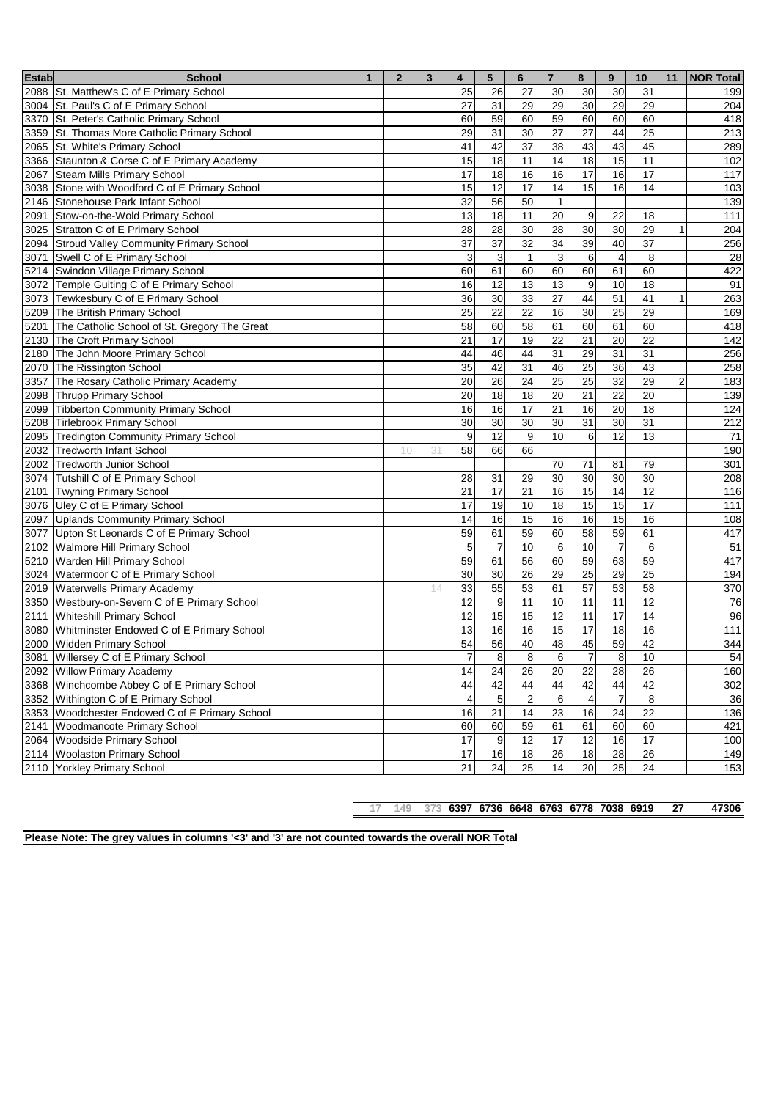| <b>Estab</b> | <b>School</b>                                     | $\mathbf{1}$ | $\overline{2}$ | 3 | 4               | 5               | 6                | $\overline{7}$  | 8               | 9               | 10              | 11             | <b>NOR Total</b> |
|--------------|---------------------------------------------------|--------------|----------------|---|-----------------|-----------------|------------------|-----------------|-----------------|-----------------|-----------------|----------------|------------------|
|              | 2088 St. Matthew's C of E Primary School          |              |                |   | 25              | 26              | 27               | 30              | 30              | 30              | 31              |                | 199              |
|              | 3004 St. Paul's C of E Primary School             |              |                |   | 27              | 31              | 29               | 29              | 30              | 29              | 29              |                | 204              |
|              | 3370 St. Peter's Catholic Primary School          |              |                |   | 60              | 59              | 60               | 59              | 60              | 60              | 60              |                | 418              |
|              | 3359 St. Thomas More Catholic Primary School      |              |                |   | 29              | 31              | 30               | $\overline{27}$ | $\overline{27}$ | 44              | $\overline{25}$ |                | 213              |
|              | 2065 St. White's Primary School                   |              |                |   | 41              | 42              | $\overline{37}$  | 38              | 43              | 43              | 45              |                | 289              |
|              | 3366 Staunton & Corse C of E Primary Academy      |              |                |   | 15              | 18              | 11               | 14              | 18              | 15              | 11              |                | 102              |
|              | 2067 Steam Mills Primary School                   |              |                |   | 17              | 18              | 16               | 16              | 17              | 16              | 17              |                | 117              |
|              | 3038 Stone with Woodford C of E Primary School    |              |                |   | 15              | 12              | 17               | 14              | 15              | 16              | 14              |                | 103              |
|              | 2146 Stonehouse Park Infant School                |              |                |   | 32              | 56              | 50               | $\overline{1}$  |                 |                 |                 |                | 139              |
|              | 2091 Stow-on-the-Wold Primary School              |              |                |   | 13              | 18              | 11               | 20              | 9               | 22              | 18              |                | 111              |
|              | 3025 Stratton C of E Primary School               |              |                |   | 28              | 28              | 30               | 28              | 30              | 30              | 29              | 1              | 204              |
|              | 2094 Stroud Valley Community Primary School       |              |                |   | $\overline{37}$ | $\overline{37}$ | $\overline{32}$  | $\overline{34}$ | 39              | 40              | $\overline{37}$ |                | 256              |
|              | 3071 Swell C of E Primary School                  |              |                |   | 3               | $\mathbf{3}$    | $\mathbf{1}$     | $\mathbf{3}$    | 6               | $\overline{4}$  | 8               |                | 28               |
|              | 5214 Swindon Village Primary School               |              |                |   | 60              | 61              | 60               | 60              | 60              | 61              | 60              |                | 422              |
|              | 3072 Temple Guiting C of E Primary School         |              |                |   | 16              | 12              | 13               | 13              | 9               | 10              | 18              |                | 91               |
|              | 3073 Tewkesbury C of E Primary School             |              |                |   | 36              | $\overline{30}$ | 33               | $\overline{27}$ | 44              | $\overline{51}$ | 41              |                | 263              |
|              | 5209 The British Primary School                   |              |                |   | 25              | 22              | $\overline{22}$  | 16              | 30              | $\overline{25}$ | 29              |                | 169              |
|              | 5201 The Catholic School of St. Gregory The Great |              |                |   | 58              | 60              | 58               | 61              | 60              | 61              | 60              |                | 418              |
|              | 2130 The Croft Primary School                     |              |                |   | 21              | 17              | 19               | 22              | 21              | 20              | 22              |                | 142              |
|              | 2180 The John Moore Primary School                |              |                |   | 44              | 46              | 44               | 31              | 29              | $\overline{31}$ | $\overline{31}$ |                | 256              |
|              | 2070 The Rissington School                        |              |                |   | 35              | 42              | $\overline{31}$  | 46              | 25              | 36              | 43              |                | 258              |
|              | 3357 The Rosary Catholic Primary Academy          |              |                |   | 20              | $\overline{26}$ | $\overline{24}$  | $\overline{25}$ | $\overline{25}$ | 32              | 29              | $\overline{c}$ | 183              |
|              | 2098 Thrupp Primary School                        |              |                |   | 20              | 18              | 18               | 20              | 21              | $\overline{22}$ | $\overline{20}$ |                | 139              |
|              | 2099 Tibberton Community Primary School           |              |                |   | 16              | 16              | 17               | 21              | 16              | 20              | 18              |                | 124              |
|              | 5208 Tirlebrook Primary School                    |              |                |   | 30              | 30              | 30               | 30              | 31              | 30              | 31              |                | 212              |
|              | 2095 Tredington Community Primary School          |              |                |   | 9               | $\overline{12}$ | 9                | 10              | 6               | $\overline{12}$ | $\overline{13}$ |                | $\overline{71}$  |
|              | 2032 Tredworth Infant School                      |              | 10             | 3 | 58              | 66              | 66               |                 |                 |                 |                 |                | 190              |
|              | 2002 Tredworth Junior School                      |              |                |   |                 |                 |                  | 70              | 71              | 81              | 79              |                | 301              |
|              | 3074 Tutshill C of E Primary School               |              |                |   | 28              | 31              | 29               | 30              | 30              | 30              | 30              |                | 208              |
|              | 2101 Twyning Primary School                       |              |                |   | 21              | 17              | 21               | 16              | 15              | $\overline{14}$ | $\overline{12}$ |                | 116              |
|              | 3076 Uley C of E Primary School                   |              |                |   | 17              | 19              | 10               | 18              | 15              | 15              | $\overline{17}$ |                | 111              |
|              | 2097 Uplands Community Primary School             |              |                |   | 14              | 16              | 15               | 16              | 16              | $\overline{15}$ | 16              |                | 108              |
|              | 3077 Upton St Leonards C of E Primary School      |              |                |   | 59              | 61              | 59               | 60              | 58              | 59              | 61              |                | 417              |
|              | 2102 Walmore Hill Primary School                  |              |                |   | 5               | $\overline{7}$  | 10               | 6               | 10              | $\overline{7}$  | 6               |                | 51               |
|              | 5210 Warden Hill Primary School                   |              |                |   | 59              | 61              | 56               | 60              | 59              | 63              | 59              |                | 417              |
|              | 3024 Watermoor C of E Primary School              |              |                |   | 30              | 30              | 26               | 29              | 25              | 29              | $\overline{25}$ |                | 194              |
|              | 2019 Waterwells Primary Academy                   |              |                |   | 33              | $\overline{55}$ | 53               | 61              | $\overline{57}$ | 53              | $\overline{58}$ |                | 370              |
|              | 3350 Westbury-on-Severn C of E Primary School     |              |                |   | 12              | $\mathsf g$     | 11               | 10              | 11              | $\overline{11}$ | $\overline{12}$ |                | 76               |
|              | 2111 Whiteshill Primary School                    |              |                |   | 12              | 15              | 15               | $\overline{12}$ | 11              | $\overline{17}$ | $\overline{14}$ |                | 96               |
|              | 3080 Whitminster Endowed C of E Primary School    |              |                |   | 13              | 16              | 16               | 15              | 17              | 18              | 16              |                | 111              |
|              | 2000 Widden Primary School                        |              |                |   | 54              | $\overline{56}$ | 40               | 48              | 45              | 59              | 42              |                | 344              |
|              | 3081 Willersey C of E Primary School              |              |                |   | 7               | 8               | 8                | 6               | 7               | 8               | 10              |                | 54               |
|              | 2092 Willow Primary Academy                       |              |                |   | 14              | $\overline{24}$ | 26               | 20              | 22              | $\overline{28}$ | $\overline{26}$ |                | 160              |
|              | 3368 Winchcombe Abbey C of E Primary School       |              |                |   | 44              | 42              | 44               | 44              | 42              | 44              | 42              |                | 302              |
|              | 3352 Withington C of E Primary School             |              |                |   | $\overline{a}$  | 5               | $\boldsymbol{2}$ | 6               | $\overline{4}$  | $\overline{7}$  | $\bf8$          |                | 36               |
|              | 3353 Woodchester Endowed C of E Primary School    |              |                |   | 16              | 21              | 14               | 23              | 16              | 24              | $\overline{22}$ |                | 136              |
|              | 2141 Woodmancote Primary School                   |              |                |   | 60              | 60              | 59               | 61              | 61              | 60              | 60              |                | 421              |
|              | 2064 Woodside Primary School                      |              |                |   | 17              | 9               | 12               | 17              | 12              | 16              | $\overline{17}$ |                | 100              |
|              | 2114 Woolaston Primary School                     |              |                |   | 17              | 16              | 18               | 26              | 18              | 28              | 26              |                | 149              |
|              | 2110 Yorkley Primary School                       |              |                |   | 21              | 24              | 25               | 14              | 20              | 25              | 24              |                | $\overline{153}$ |

**149 373 6397 6736 6648 6763 6778 7038 6919 27 47306**

**Please Note: The grey values in columns '<3' and '3' are not counted towards the overall NOR Total**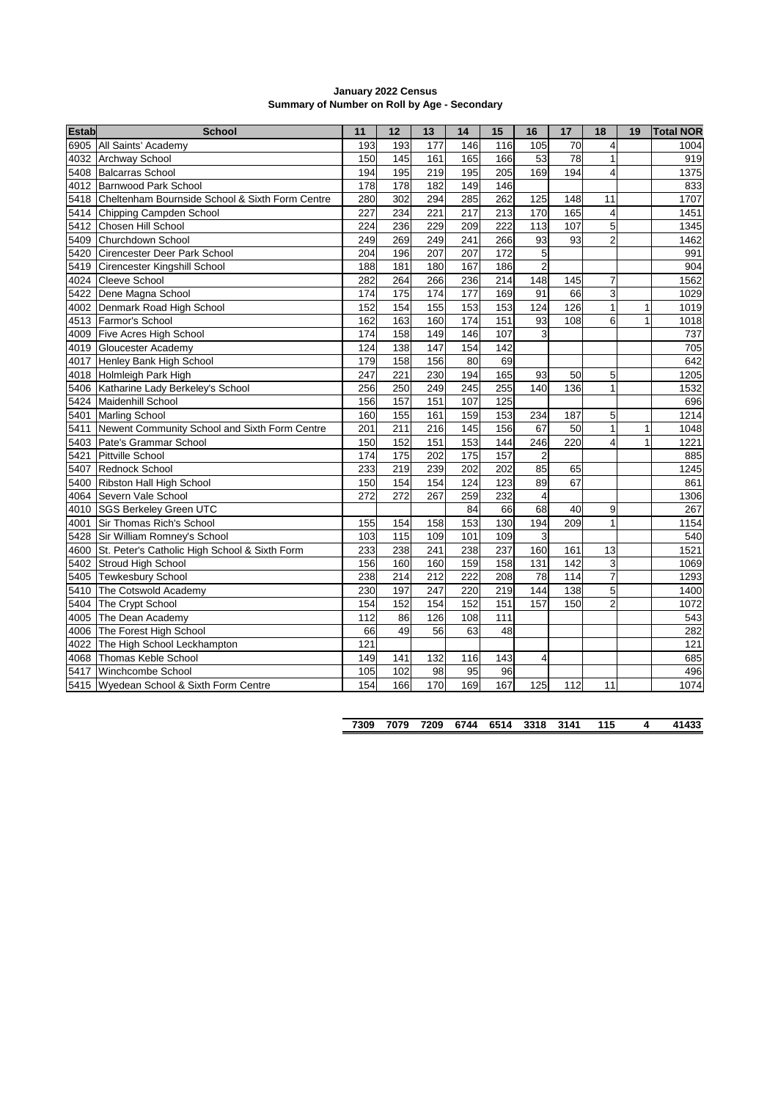| January 2022 Census                          |
|----------------------------------------------|
| Summary of Number on Roll by Age - Secondary |

| <b>Estab</b>       | <b>School</b>                                   | 11  | 12              | 13               | 14               | 15               | 16                      | 17  | 18                      | 19 | <b>Total NOR</b> |
|--------------------|-------------------------------------------------|-----|-----------------|------------------|------------------|------------------|-------------------------|-----|-------------------------|----|------------------|
| 6905               | All Saints' Academy                             | 193 | 193             | 177              | 146              | 116              | 105                     | 70  | 4                       |    | 1004             |
| 4032               | <b>Archway School</b>                           | 150 | 145             | 161              | 165              | 166              | 53                      | 78  | 1                       |    | 919              |
| 5408               | <b>Balcarras School</b>                         | 194 | 195             | 219              | 195              | 205              | 169                     | 194 | 4                       |    | 1375             |
| 4012               | Barnwood Park School                            | 178 | 178             | 182              | 149              | 146              |                         |     |                         |    | 833              |
| 5418               | Cheltenham Bournside School & Sixth Form Centre | 280 | 302             | 294              | 285              | 262              | 125                     | 148 | 11                      |    | 1707             |
| 5414               | Chipping Campden School                         | 227 | 234             | 221              | 217              | 213              | 170                     | 165 | 4                       |    | 1451             |
| 5412               | Chosen Hill School                              | 224 | 236             | 229              | 209              | 222              | 113                     | 107 | 5                       |    | 1345             |
| 5409               | Churchdown School                               | 249 | 269             | 249              | 241              | 266              | 93                      | 93  | $\overline{c}$          |    | 1462             |
| 5420               | Cirencester Deer Park School                    | 204 | 196             | 207              | 207              | 172              | 5                       |     |                         |    | 991              |
| 5419               | Cirencester Kingshill School                    | 188 | 181             | 180              | 167              | 186              | $\overline{c}$          |     |                         |    | 904              |
| 4024               | Cleeve School                                   | 282 | 264             | 266              | 236              | 214              | 148                     | 145 | 7                       |    | 1562             |
| 5422               | Dene Magna School                               | 174 | 175             | 174              | 177              | 169              | 91                      | 66  | 3                       |    | 1029             |
| 4002               | Denmark Road High School                        | 152 | 154             | 155              | 153              | 153              | 124                     | 126 | $\mathbf{1}$            | 1  | 1019             |
| 4513               | Farmor's School                                 | 162 | 163             | 160              | 174              | 151              | 93                      | 108 | 6                       | 1  | 1018             |
| 4009               | Five Acres High School                          | 174 | 158             | 149              | 146              | 107              | 3                       |     |                         |    | 737              |
| 4019               | Gloucester Academy                              | 124 | 138             | 147              | 154              | 142              |                         |     |                         |    | 705              |
| 4017               | Henley Bank High School                         | 179 | 158             | 156              | 80               | 69               |                         |     |                         |    | 642              |
| 4018               | Holmleigh Park High                             | 247 | 221             | 230              | 194              | 165              | 93                      | 50  | 5                       |    | 1205             |
| 5406               | Katharine Lady Berkeley's School                | 256 | 250             | 249              | $\overline{245}$ | 255              | 140                     | 136 | 1                       |    | 1532             |
| $\overline{5}$ 424 | Maidenhill School                               | 156 | 157             | 151              | 107              | 125              |                         |     |                         |    | 696              |
| 5401               | <b>Marling School</b>                           | 160 | 155             | 161              | 159              | 153              | 234                     | 187 | 5                       |    | 1214             |
| 5411               | Newent Community School and Sixth Form Centre   | 201 | 211             | 216              | 145              | 156              | 67                      | 50  | $\mathbf{1}$            | 1  | 1048             |
| 5403               | Pate's Grammar School                           | 150 | 152             | 151              | 153              | 144              | 246                     | 220 | $\overline{\mathbf{4}}$ | 1  | 1221             |
| 5421               | Pittville School                                | 174 | $\frac{1}{175}$ | 202              | $\frac{1}{175}$  | 157              | $\overline{\mathbf{c}}$ |     |                         |    | 885              |
| 5407               | Rednock School                                  | 233 | 219             | 239              | 202              | 202              | 85                      | 65  |                         |    | 1245             |
| 5400               | Ribston Hall High School                        | 150 | 154             | 154              | 124              | 123              | 89                      | 67  |                         |    | 861              |
| 4064               | Severn Vale School                              | 272 | 272             | 267              | 259              | 232              | $\overline{4}$          |     |                         |    | 1306             |
| 4010               | <b>SGS Berkeley Green UTC</b>                   |     |                 |                  | 84               | 66               | 68                      | 40  | 9                       |    | 267              |
| 4001               | Sir Thomas Rich's School                        | 155 | 154             | 158              | 153              | 130              | 194                     | 209 | $\mathbf{1}$            |    | 1154             |
| 5428               | Sir William Romney's School                     | 103 | 115             | 109              | 101              | 109              | 3                       |     |                         |    | 540              |
| 4600               | St. Peter's Catholic High School & Sixth Form   | 233 | 238             | $\overline{241}$ | 238              | 237              | 160                     | 161 | 13                      |    | 1521             |
| 5402               | Stroud High School                              | 156 | 160             | 160              | 159              | 158              | 131                     | 142 | 3                       |    | 1069             |
| 5405               | <b>Tewkesbury School</b>                        | 238 | 214             | 212              | 222              | 208              | 78                      | 114 | $\overline{7}$          |    | 1293             |
| 5410               | The Cotswold Academy                            | 230 | 197             | 247              | 220              | $\overline{219}$ | 144                     | 138 | 5                       |    | 1400             |
| 5404               | The Crypt School                                | 154 | 152             | 154              | 152              | 151              | 157                     | 150 | $\overline{2}$          |    | 1072             |
| 4005               | The Dean Academy                                | 112 | 86              | 126              | 108              | 111              |                         |     |                         |    | 543              |
| 4006               | The Forest High School                          | 66  | 49              | 56               | 63               | 48               |                         |     |                         |    | 282              |
| 4022               | The High School Leckhampton                     | 121 |                 |                  |                  |                  |                         |     |                         |    | 121              |
| 4068               | Thomas Keble School                             | 149 | 141             | 132              | 116              | 143              | $\overline{4}$          |     |                         |    | 685              |
| 5417               | Winchcombe School                               | 105 | 102             | 98               | 95               | 96               |                         |     |                         |    | 496              |
|                    | 5415 Wyedean School & Sixth Form Centre         | 154 | 166             | 170              | 169              | 167              | 125                     | 112 | 11                      |    | 1074             |

|  |  |  |  |  |  |  |  |  | 7309 7079 7209 6744 6514 3318 3141 115 4 41433 |
|--|--|--|--|--|--|--|--|--|------------------------------------------------|
|--|--|--|--|--|--|--|--|--|------------------------------------------------|